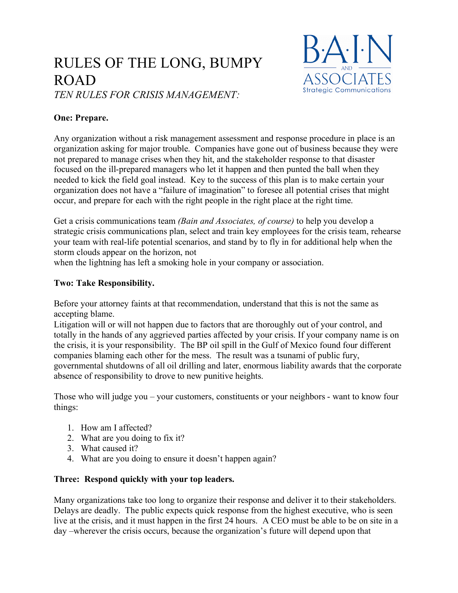# RULES OF THE LONG, BUMPY ROAD *TEN RULES FOR CRISIS MANAGEMENT:*



# **One: Prepare.**

Any organization without a risk management assessment and response procedure in place is an organization asking for major trouble. Companies have gone out of business because they were not prepared to manage crises when they hit, and the stakeholder response to that disaster focused on the ill-prepared managers who let it happen and then punted the ball when they needed to kick the field goal instead. Key to the success of this plan is to make certain your organization does not have a "failure of imagination" to foresee all potential crises that might occur, and prepare for each with the right people in the right place at the right time.

Get a crisis communications team *(Bain and Associates, of course)* to help you develop a strategic crisis communications plan, select and train key employees for the crisis team, rehearse your team with real-life potential scenarios, and stand by to fly in for additional help when the storm clouds appear on the horizon, not

when the lightning has left a smoking hole in your company or association.

# **Two: Take Responsibility.**

Before your attorney faints at that recommendation, understand that this is not the same as accepting blame.

Litigation will or will not happen due to factors that are thoroughly out of your control, and totally in the hands of any aggrieved parties affected by your crisis. If your company name is on the crisis, it is your responsibility. The BP oil spill in the Gulf of Mexico found four different companies blaming each other for the mess. The result was a tsunami of public fury, governmental shutdowns of all oil drilling and later, enormous liability awards that the corporate absence of responsibility to drove to new punitive heights.

Those who will judge you – your customers, constituents or your neighbors - want to know four things:

- 1. How am I affected?
- 2. What are you doing to fix it?
- 3. What caused it?
- 4. What are you doing to ensure it doesn't happen again?

#### **Three: Respond quickly with your top leaders.**

Many organizations take too long to organize their response and deliver it to their stakeholders. Delays are deadly. The public expects quick response from the highest executive, who is seen live at the crisis, and it must happen in the first 24 hours. A CEO must be able to be on site in a day –wherever the crisis occurs, because the organization's future will depend upon that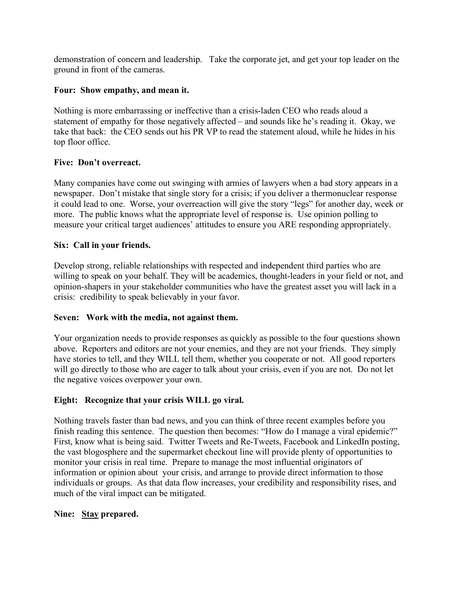demonstration of concern and leadership. Take the corporate jet, and get your top leader on the ground in front of the cameras.

#### **Four: Show empathy, and mean it.**

Nothing is more embarrassing or ineffective than a crisis-laden CEO who reads aloud a statement of empathy for those negatively affected – and sounds like he's reading it. Okay, we take that back: the CEO sends out his PR VP to read the statement aloud, while he hides in his top floor office.

# **Five: Don't overreact.**

Many companies have come out swinging with armies of lawyers when a bad story appears in a newspaper. Don't mistake that single story for a crisis; if you deliver a thermonuclear response it could lead to one. Worse, your overreaction will give the story "legs" for another day, week or more. The public knows what the appropriate level of response is. Use opinion polling to measure your critical target audiences' attitudes to ensure you ARE responding appropriately.

#### **Six: Call in your friends.**

Develop strong, reliable relationships with respected and independent third parties who are willing to speak on your behalf. They will be academics, thought-leaders in your field or not, and opinion-shapers in your stakeholder communities who have the greatest asset you will lack in a crisis: credibility to speak believably in your favor.

#### **Seven: Work with the media, not against them.**

Your organization needs to provide responses as quickly as possible to the four questions shown above. Reporters and editors are not your enemies, and they are not your friends. They simply have stories to tell, and they WILL tell them, whether you cooperate or not. All good reporters will go directly to those who are eager to talk about your crisis, even if you are not. Do not let the negative voices overpower your own.

# **Eight: Recognize that your crisis WILL go viral.**

Nothing travels faster than bad news, and you can think of three recent examples before you finish reading this sentence. The question then becomes: "How do I manage a viral epidemic?" First, know what is being said. Twitter Tweets and Re-Tweets, Facebook and LinkedIn posting, the vast blogosphere and the supermarket checkout line will provide plenty of opportunities to monitor your crisis in real time. Prepare to manage the most influential originators of information or opinion about your crisis, and arrange to provide direct information to those individuals or groups. As that data flow increases, your credibility and responsibility rises, and much of the viral impact can be mitigated.

#### **Nine: Stay prepared.**